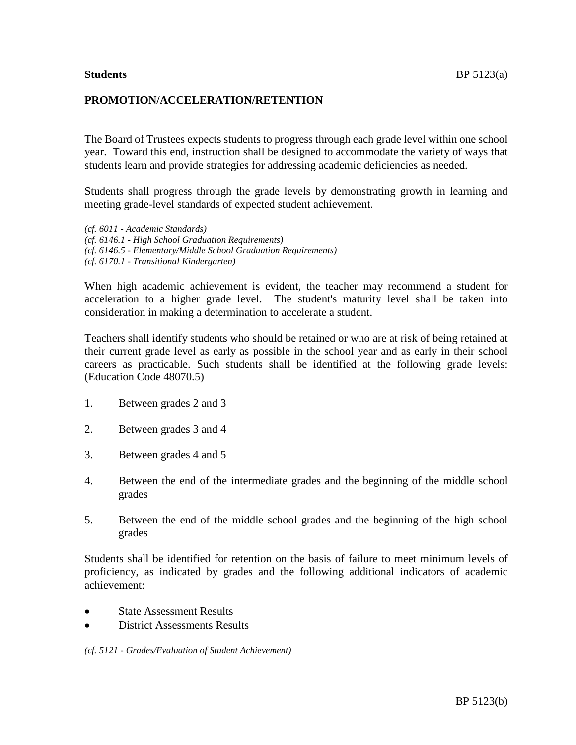## **PROMOTION/ACCELERATION/RETENTION**

The Board of Trustees expects students to progress through each grade level within one school year. Toward this end, instruction shall be designed to accommodate the variety of ways that students learn and provide strategies for addressing academic deficiencies as needed.

Students shall progress through the grade levels by demonstrating growth in learning and meeting grade-level standards of expected student achievement.

*(cf. 6011 - Academic Standards) (cf. 6146.1 - High School Graduation Requirements) (cf. 6146.5 - Elementary/Middle School Graduation Requirements) (cf. 6170.1 - Transitional Kindergarten)*

When high academic achievement is evident, the teacher may recommend a student for acceleration to a higher grade level. The student's maturity level shall be taken into consideration in making a determination to accelerate a student.

Teachers shall identify students who should be retained or who are at risk of being retained at their current grade level as early as possible in the school year and as early in their school careers as practicable. Such students shall be identified at the following grade levels: (Education Code 48070.5)

- 1. Between grades 2 and 3
- 2. Between grades 3 and 4
- 3. Between grades 4 and 5
- 4. Between the end of the intermediate grades and the beginning of the middle school grades
- 5. Between the end of the middle school grades and the beginning of the high school grades

Students shall be identified for retention on the basis of failure to meet minimum levels of proficiency, as indicated by grades and the following additional indicators of academic achievement:

- **State Assessment Results**
- District Assessments Results

*(cf. 5121 - Grades/Evaluation of Student Achievement)*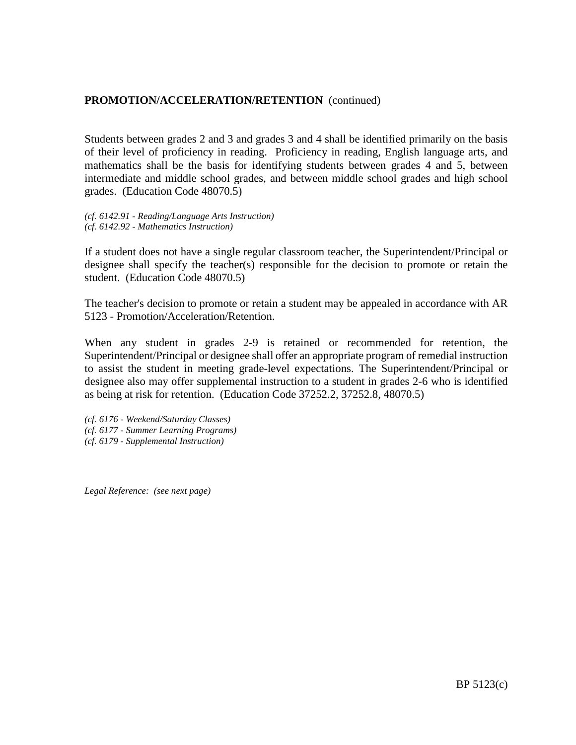Students between grades 2 and 3 and grades 3 and 4 shall be identified primarily on the basis of their level of proficiency in reading. Proficiency in reading, English language arts, and mathematics shall be the basis for identifying students between grades 4 and 5, between intermediate and middle school grades, and between middle school grades and high school grades. (Education Code 48070.5)

*(cf. 6142.91 - Reading/Language Arts Instruction) (cf. 6142.92 - Mathematics Instruction)*

If a student does not have a single regular classroom teacher, the Superintendent/Principal or designee shall specify the teacher(s) responsible for the decision to promote or retain the student. (Education Code 48070.5)

The teacher's decision to promote or retain a student may be appealed in accordance with AR 5123 - Promotion/Acceleration/Retention.

When any student in grades 2-9 is retained or recommended for retention, the Superintendent/Principal or designee shall offer an appropriate program of remedial instruction to assist the student in meeting grade-level expectations. The Superintendent/Principal or designee also may offer supplemental instruction to a student in grades 2-6 who is identified as being at risk for retention. (Education Code 37252.2, 37252.8, 48070.5)

*(cf. 6176 - Weekend/Saturday Classes) (cf. 6177 - Summer Learning Programs) (cf. 6179 - Supplemental Instruction)*

*Legal Reference: (see next page)*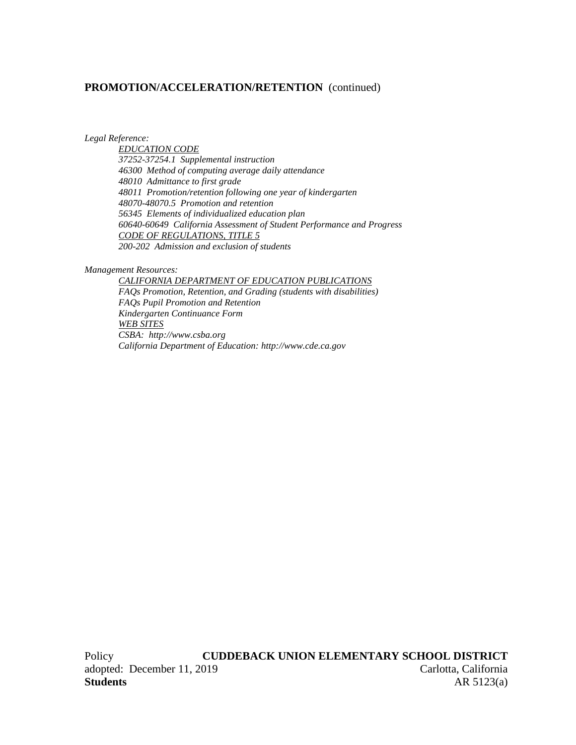*Legal Reference:*

*EDUCATION CODE 37252-37254.1 Supplemental instruction 46300 Method of computing average daily attendance 48010 Admittance to first grade 48011 Promotion/retention following one year of kindergarten 48070-48070.5 Promotion and retention 56345 Elements of individualized education plan 60640-60649 California Assessment of Student Performance and Progress CODE OF REGULATIONS, TITLE 5 200-202 Admission and exclusion of students*

#### *Management Resources:*

*CALIFORNIA DEPARTMENT OF EDUCATION PUBLICATIONS FAQs Promotion, Retention, and Grading (students with disabilities) FAQs Pupil Promotion and Retention Kindergarten Continuance Form WEB SITES CSBA: http://www.csba.org California Department of Education: http://www.cde.ca.gov*

Policy **CUDDEBACK UNION ELEMENTARY SCHOOL DISTRICT** adopted: December 11, 2019 Carlotta, California **Students** AR 5123(a)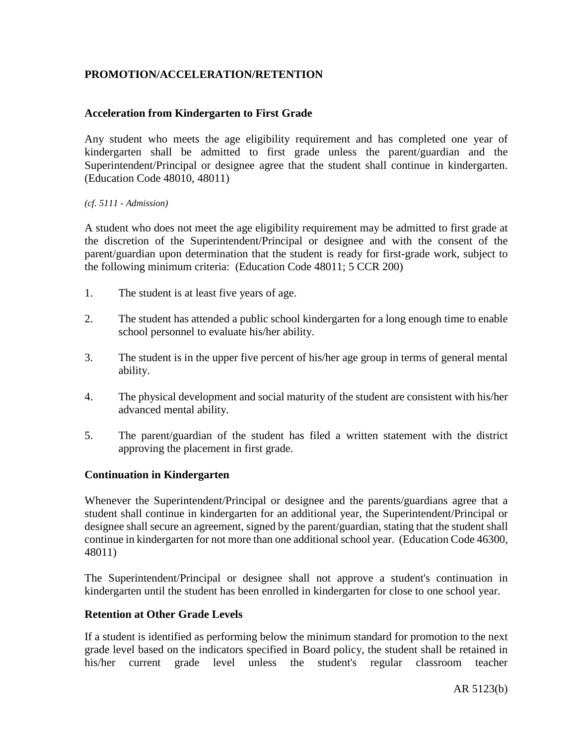# **PROMOTION/ACCELERATION/RETENTION**

## **Acceleration from Kindergarten to First Grade**

Any student who meets the age eligibility requirement and has completed one year of kindergarten shall be admitted to first grade unless the parent/guardian and the Superintendent/Principal or designee agree that the student shall continue in kindergarten. (Education Code 48010, 48011)

### *(cf. 5111 - Admission)*

A student who does not meet the age eligibility requirement may be admitted to first grade at the discretion of the Superintendent/Principal or designee and with the consent of the parent/guardian upon determination that the student is ready for first-grade work, subject to the following minimum criteria: (Education Code 48011; 5 CCR 200)

- 1. The student is at least five years of age.
- 2. The student has attended a public school kindergarten for a long enough time to enable school personnel to evaluate his/her ability.
- 3. The student is in the upper five percent of his/her age group in terms of general mental ability.
- 4. The physical development and social maturity of the student are consistent with his/her advanced mental ability.
- 5. The parent/guardian of the student has filed a written statement with the district approving the placement in first grade.

## **Continuation in Kindergarten**

Whenever the Superintendent/Principal or designee and the parents/guardians agree that a student shall continue in kindergarten for an additional year, the Superintendent/Principal or designee shall secure an agreement, signed by the parent/guardian, stating that the student shall continue in kindergarten for not more than one additional school year. (Education Code 46300, 48011)

The Superintendent/Principal or designee shall not approve a student's continuation in kindergarten until the student has been enrolled in kindergarten for close to one school year.

## **Retention at Other Grade Levels**

If a student is identified as performing below the minimum standard for promotion to the next grade level based on the indicators specified in Board policy, the student shall be retained in his/her current grade level unless the student's regular classroom teacher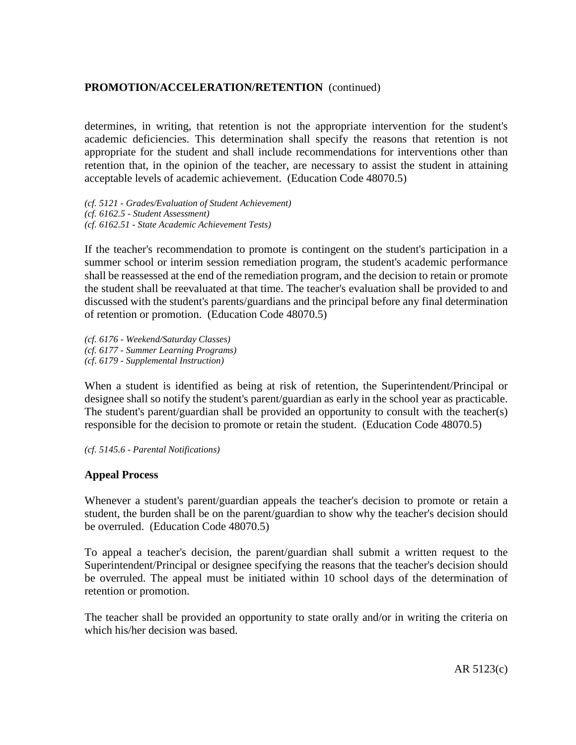determines, in writing, that retention is not the appropriate intervention for the student's academic deficiencies. This determination shall specify the reasons that retention is not appropriate for the student and shall include recommendations for interventions other than retention that, in the opinion of the teacher, are necessary to assist the student in attaining acceptable levels of academic achievement. (Education Code 48070.5)

*(cf. 5121 - Grades/Evaluation of Student Achievement) (cf. 6162.5 - Student Assessment) (cf. 6162.51 - State Academic Achievement Tests)*

If the teacher's recommendation to promote is contingent on the student's participation in a summer school or interim session remediation program, the student's academic performance shall be reassessed at the end of the remediation program, and the decision to retain or promote the student shall be reevaluated at that time. The teacher's evaluation shall be provided to and discussed with the student's parents/guardians and the principal before any final determination of retention or promotion. (Education Code 48070.5)

*(cf. 6176 - Weekend/Saturday Classes) (cf. 6177 - Summer Learning Programs) (cf. 6179 - Supplemental Instruction)*

When a student is identified as being at risk of retention, the Superintendent/Principal or designee shall so notify the student's parent/guardian as early in the school year as practicable. The student's parent/guardian shall be provided an opportunity to consult with the teacher(s) responsible for the decision to promote or retain the student. (Education Code 48070.5)

*(cf. 5145.6 - Parental Notifications)*

## **Appeal Process**

Whenever a student's parent/guardian appeals the teacher's decision to promote or retain a student, the burden shall be on the parent/guardian to show why the teacher's decision should be overruled. (Education Code 48070.5)

To appeal a teacher's decision, the parent/guardian shall submit a written request to the Superintendent/Principal or designee specifying the reasons that the teacher's decision should be overruled. The appeal must be initiated within 10 school days of the determination of retention or promotion.

The teacher shall be provided an opportunity to state orally and/or in writing the criteria on which his/her decision was based.